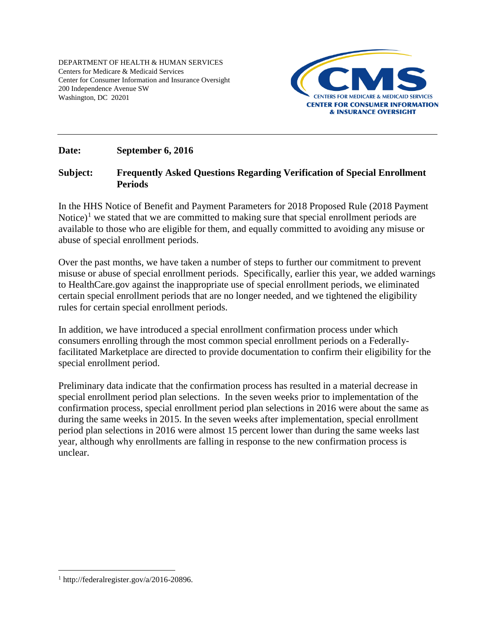DEPARTMENT OF HEALTH & HUMAN SERVICES Centers for Medicare & Medicaid Services Center for Consumer Information and Insurance Oversight 200 Independence Avenue SW Washington, DC 20201



### **Date: September 6, 2016**

### **Subject: Frequently Asked Questions Regarding Verification of Special Enrollment Periods**

In the HHS Notice of Benefit and Payment Parameters for 2018 Proposed Rule (2018 Payment Notice)<sup>[1](#page-0-0)</sup> we stated that we are committed to making sure that special enrollment periods are available to those who are eligible for them, and equally committed to avoiding any misuse or abuse of special enrollment periods.

Over the past months, we have taken a number of steps to further our commitment to prevent misuse or abuse of special enrollment periods. Specifically, earlier this year, we added warnings to HealthCare.gov against the inappropriate use of special enrollment periods, we eliminated certain special enrollment periods that are no longer needed, and we tightened the eligibility rules for certain special enrollment periods.

In addition, we have introduced a special enrollment confirmation process under which consumers enrolling through the most common special enrollment periods on a Federallyfacilitated Marketplace are directed to provide documentation to confirm their eligibility for the special enrollment period.

Preliminary data indicate that the confirmation process has resulted in a material decrease in special enrollment period plan selections. In the seven weeks prior to implementation of the confirmation process, special enrollment period plan selections in 2016 were about the same as during the same weeks in 2015. In the seven weeks after implementation, special enrollment period plan selections in 2016 were almost 15 percent lower than during the same weeks last year, although why enrollments are falling in response to the new confirmation process is unclear.

<span id="page-0-0"></span> <sup>1</sup> http://federalregister.gov/a/2016-20896.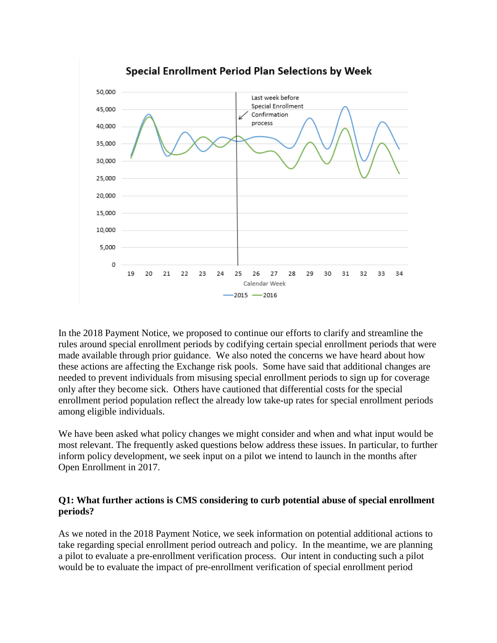

In the 2018 Payment Notice, we proposed to continue our efforts to clarify and streamline the rules around special enrollment periods by codifying certain special enrollment periods that were made available through prior guidance. We also noted the concerns we have heard about how these actions are affecting the Exchange risk pools. Some have said that additional changes are needed to prevent individuals from misusing special enrollment periods to sign up for coverage only after they become sick. Others have cautioned that differential costs for the special enrollment period population reflect the already low take-up rates for special enrollment periods among eligible individuals.

We have been asked what policy changes we might consider and when and what input would be most relevant. The frequently asked questions below address these issues. In particular, to further inform policy development, we seek input on a pilot we intend to launch in the months after Open Enrollment in 2017.

### **Q1: What further actions is CMS considering to curb potential abuse of special enrollment periods?**

As we noted in the 2018 Payment Notice, we seek information on potential additional actions to take regarding special enrollment period outreach and policy. In the meantime, we are planning a pilot to evaluate a pre-enrollment verification process. Our intent in conducting such a pilot would be to evaluate the impact of pre-enrollment verification of special enrollment period